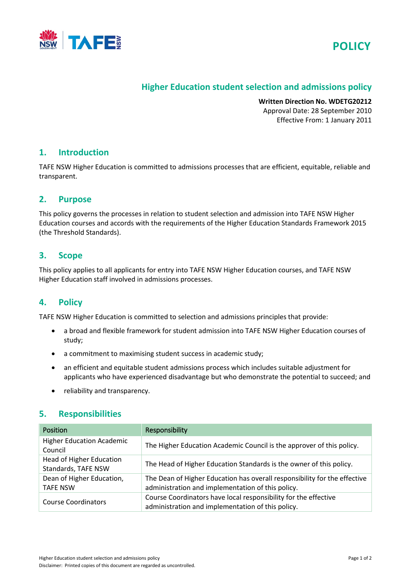



# **Higher Education student selection and admissions policy**

**Written Direction No. WDETG20212** Approval Date: 28 September 2010 Effective From: 1 January 2011

## **1. Introduction**

TAFE NSW Higher Education is committed to admissions processes that are efficient, equitable, reliable and transparent.

## **2. Purpose**

This policy governs the processes in relation to student selection and admission into TAFE NSW Higher Education courses and accords with the requirements of the Higher Education Standards Framework 2015 (the Threshold Standards).

## **3. Scope**

This policy applies to all applicants for entry into TAFE NSW Higher Education courses, and TAFE NSW Higher Education staff involved in admissions processes.

# **4. Policy**

TAFE NSW Higher Education is committed to selection and admissions principles that provide:

- a broad and flexible framework for student admission into TAFE NSW Higher Education courses of study;
- a commitment to maximising student success in academic study;
- an efficient and equitable student admissions process which includes suitable adjustment for applicants who have experienced disadvantage but who demonstrate the potential to succeed; and
- reliability and transparency.

# **5. Responsibilities**

| Position                                               | Responsibility                                                                                                                 |  |
|--------------------------------------------------------|--------------------------------------------------------------------------------------------------------------------------------|--|
| <b>Higher Education Academic</b><br>Council            | The Higher Education Academic Council is the approver of this policy.                                                          |  |
| <b>Head of Higher Education</b><br>Standards, TAFE NSW | The Head of Higher Education Standards is the owner of this policy.                                                            |  |
| Dean of Higher Education,<br><b>TAFE NSW</b>           | The Dean of Higher Education has overall responsibility for the effective<br>administration and implementation of this policy. |  |
| <b>Course Coordinators</b>                             | Course Coordinators have local responsibility for the effective<br>administration and implementation of this policy.           |  |